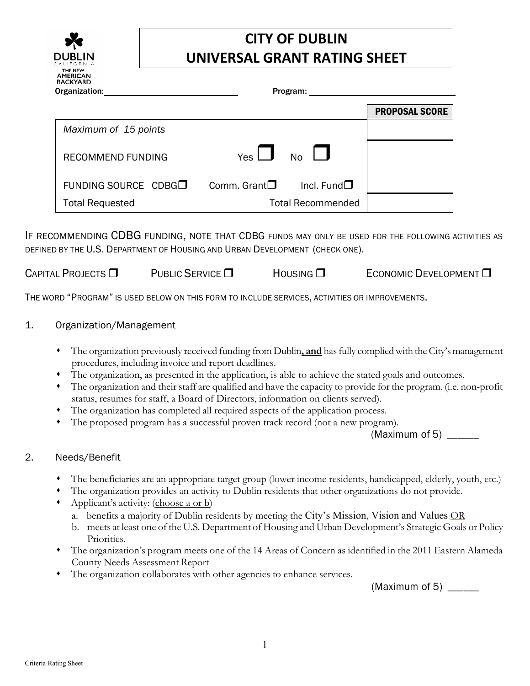

## **CITY OF DUBLIN UNIVERSAL GRANT RATING SHEET**

| Organization:            | Program:                          |                       |
|--------------------------|-----------------------------------|-----------------------|
|                          |                                   | <b>PROPOSAL SCORE</b> |
| Maximum of 15 points     |                                   |                       |
| <b>RECOMMEND FUNDING</b> | Yes $\Box$ No $\Box$              |                       |
| FUNDING SOURCE CDBG□     | Incl. Fund $\Box$<br>Comm. Grant□ |                       |
| <b>Total Requested</b>   | <b>Total Recommended</b>          |                       |

IF RECOMMENDING CDBG FUNDING, NOTE THAT CDBG FUNDS MAY ONLY BE USED FOR THE FOLLOWING ACTIVITIES AS DEFINED BY THE U.S. DEPARTMENT OF HOUSING AND URBAN DEVELOPMENT (CHECK ONE).

CAPITAL PROJECTS  $\square$  PUBLIC SERVICE  $\square$  Housing  $\square$  Economic Development  $\square$ 

THE WORD "PROGRAM" IS USED BELOW ON THIS FORM TO INCLUDE SERVICES, ACTIVITIES OR IMPROVEMENTS.

## 1. Organization/Management

- The organization previously received funding from Dublin**, and** hasfully compliedwith the City's management procedures, including invoice and report deadlines.
- The organization, as presented in the application, is able to achieve the stated goals and outcomes.
- The organization and their staff are qualified and have the capacity to provide for the program. (i.e. non-profit status, resumes for staff, a Board of Directors, information on clients served).
- The organization has completed all required aspects of the application process.
- The proposed program has a successful proven track record (not a new program).

(Maximum of 5)

## 2. Needs/Benefit

- The beneficiaries are an appropriate target group (lower income residents, handicapped, elderly, youth, etc.)
- The organization provides an activity to Dublin residents that other organizations do not provide.
- Applicant's activity: (choose a or b)
	- a. benefits a majority of Dublin residents by meeting the City's Mission, Vision and Values OR
	- b. meets at least one of the U.S. Department of Housing and Urban Development's Strategic Goals or Policy Priorities.
- The organization's program meets one of the 14 Areas of Concern as identified in the 2011 Eastern Alameda County Needs Assessment Report
- The organization collaborates with other agencies to enhance services.

(Maximum of 5)